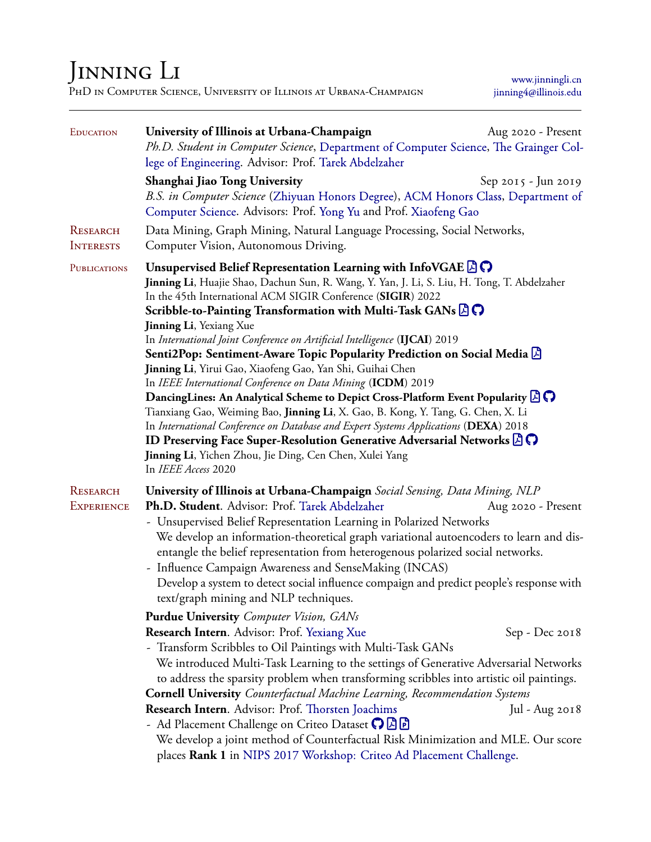## JINNING LI

PhD in Computer Science, University of Illinois at Urbana-Champaign

[www.jinningli.cn](http://www.jinningli.cn) [jinning4@illinois.edu](mailto:jinning4@illinois.edu)

| <b>EDUCATION</b>              | University of Illinois at Urbana-Champaign<br>Ph.D. Student in Computer Science, Department of Computer Science, The Grainger Col-<br>lege of Engineering. Advisor: Prof. Tarek Abdelzaher                                                                                                                                                                                                                                                                                                                                                                                                                                                                                                                                                                                                                                                                                                                                                                                                                                                                                                                                     | Aug 2020 - Present  |  |
|-------------------------------|--------------------------------------------------------------------------------------------------------------------------------------------------------------------------------------------------------------------------------------------------------------------------------------------------------------------------------------------------------------------------------------------------------------------------------------------------------------------------------------------------------------------------------------------------------------------------------------------------------------------------------------------------------------------------------------------------------------------------------------------------------------------------------------------------------------------------------------------------------------------------------------------------------------------------------------------------------------------------------------------------------------------------------------------------------------------------------------------------------------------------------|---------------------|--|
|                               | Shanghai Jiao Tong University<br>B.S. in Computer Science (Zhiyuan Honors Degree), ACM Honors Class, Department of<br>Computer Science. Advisors: Prof. Yong Yu and Prof. Xiaofeng Gao                                                                                                                                                                                                                                                                                                                                                                                                                                                                                                                                                                                                                                                                                                                                                                                                                                                                                                                                         | Sep 2015 - Jun 2019 |  |
| RESEARCH<br><b>INTERESTS</b>  | Data Mining, Graph Mining, Natural Language Processing, Social Networks,<br>Computer Vision, Autonomous Driving.                                                                                                                                                                                                                                                                                                                                                                                                                                                                                                                                                                                                                                                                                                                                                                                                                                                                                                                                                                                                               |                     |  |
| <b>PUBLICATIONS</b>           | Unsupervised Belief Representation Learning with InfoVGAE $\mathbb{F}(\mathbb{C})$<br>Jinning Li, Huajie Shao, Dachun Sun, R. Wang, Y. Yan, J. Li, S. Liu, H. Tong, T. Abdelzaher<br>In the 45th International ACM SIGIR Conference (SIGIR) 2022<br>Scribble-to-Painting Transformation with Multi-Task GANs $\beta$<br><b>Jinning Li</b> , Yexiang Xue<br>In International Joint Conference on Artificial Intelligence (IJCAI) 2019<br>Senti2Pop: Sentiment-Aware Topic Popularity Prediction on Social Media<br>Jinning Li, Yirui Gao, Xiaofeng Gao, Yan Shi, Guihai Chen<br>In IEEE International Conference on Data Mining (ICDM) 2019<br><b>DancingLines:</b> An Analytical Scheme to Depict Cross-Platform Event Popularity $\Box$<br>Tianxiang Gao, Weiming Bao, Jinning Li, X. Gao, B. Kong, Y. Tang, G. Chen, X. Li<br>In International Conference on Database and Expert Systems Applications (DEXA) 2018<br><b>ID Preserving Face Super-Resolution Generative Adversarial Networks <math>\beta</math> <math>\heartsuit</math></b><br>Jinning Li, Yichen Zhou, Jie Ding, Cen Chen, Xulei Yang<br>In IEEE Access 2020 |                     |  |
| RESEARCH<br><b>EXPERIENCE</b> | University of Illinois at Urbana-Champaign Social Sensing, Data Mining, NLP<br>Ph.D. Student. Advisor: Prof. Tarek Abdelzaher<br>Aug 2020 - Present<br>- Unsupervised Belief Representation Learning in Polarized Networks<br>We develop an information-theoretical graph variational autoencoders to learn and dis-<br>entangle the belief representation from heterogenous polarized social networks.<br>- Influence Campaign Awareness and SenseMaking (INCAS)<br>Develop a system to detect social influence compaign and predict people's response with<br>text/graph mining and NLP techniques.                                                                                                                                                                                                                                                                                                                                                                                                                                                                                                                          |                     |  |
|                               | <b>Purdue University</b> Computer Vision, GANs<br>Research Intern. Advisor: Prof. Yexiang Xue                                                                                                                                                                                                                                                                                                                                                                                                                                                                                                                                                                                                                                                                                                                                                                                                                                                                                                                                                                                                                                  | Sep - Dec 2018      |  |
|                               | - Transform Scribbles to Oil Paintings with Multi-Task GANs<br>We introduced Multi-Task Learning to the settings of Generative Adversarial Networks<br>to address the sparsity problem when transforming scribbles into artistic oil paintings.                                                                                                                                                                                                                                                                                                                                                                                                                                                                                                                                                                                                                                                                                                                                                                                                                                                                                |                     |  |
|                               | <b>Cornell University</b> Counterfactual Machine Learning, Recommendation Systems                                                                                                                                                                                                                                                                                                                                                                                                                                                                                                                                                                                                                                                                                                                                                                                                                                                                                                                                                                                                                                              |                     |  |
|                               | Research Intern. Advisor: Prof. Thorsten Joachims                                                                                                                                                                                                                                                                                                                                                                                                                                                                                                                                                                                                                                                                                                                                                                                                                                                                                                                                                                                                                                                                              | Jul - Aug 2018      |  |
|                               | - Ad Placement Challenge on Criteo Dataset ?<br>We develop a joint method of Counterfactual Risk Minimization and MLE. Our score<br>places Rank 1 in NIPS 2017 Workshop: Criteo Ad Placement Challenge.                                                                                                                                                                                                                                                                                                                                                                                                                                                                                                                                                                                                                                                                                                                                                                                                                                                                                                                        |                     |  |